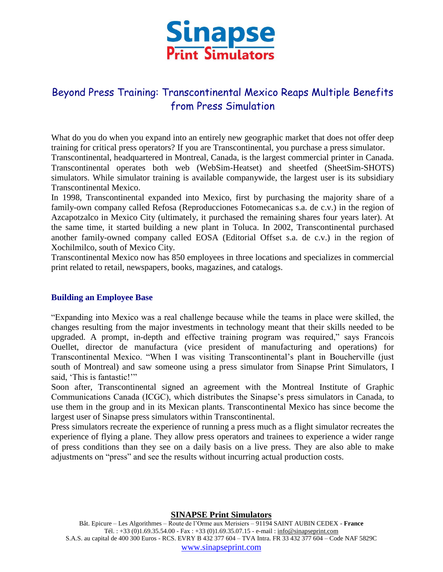

# Beyond Press Training: Transcontinental Mexico Reaps Multiple Benefits from Press Simulation

What do you do when you expand into an entirely new geographic market that does not offer deep training for critical press operators? If you are Transcontinental, you purchase a press simulator. Transcontinental, headquartered in Montreal, Canada, is the largest commercial printer in Canada.

Transcontinental operates both web (WebSim-Heatset) and sheetfed (SheetSim-SHOTS) simulators. While simulator training is available companywide, the largest user is its subsidiary Transcontinental Mexico.

In 1998, Transcontinental expanded into Mexico, first by purchasing the majority share of a family-own company called Refosa (Reproducciones Fotomecanicas s.a. de c.v.) in the region of Azcapotzalco in Mexico City (ultimately, it purchased the remaining shares four years later). At the same time, it started building a new plant in Toluca. In 2002, Transcontinental purchased another family-owned company called EOSA (Editorial Offset s.a. de c.v.) in the region of Xochilmilco, south of Mexico City.

Transcontinental Mexico now has 850 employees in three locations and specializes in commercial print related to retail, newspapers, books, magazines, and catalogs.

## **Building an Employee Base**

"Expanding into Mexico was a real challenge because while the teams in place were skilled, the changes resulting from the major investments in technology meant that their skills needed to be upgraded. A prompt, in-depth and effective training program was required," says Francois Ouellet, director de manufactura (vice president of manufacturing and operations) for Transcontinental Mexico. "When I was visiting Transcontinental's plant in Boucherville (just south of Montreal) and saw someone using a press simulator from Sinapse Print Simulators, I said, 'This is fantastic!'"

Soon after, Transcontinental signed an agreement with the Montreal Institute of Graphic Communications Canada (ICGC), which distributes the Sinapse's press simulators in Canada, to use them in the group and in its Mexican plants. Transcontinental Mexico has since become the largest user of Sinapse press simulators within Transcontinental.

Press simulators recreate the experience of running a press much as a flight simulator recreates the experience of flying a plane. They allow press operators and trainees to experience a wider range of press conditions than they see on a daily basis on a live press. They are also able to make adjustments on "press" and see the results without incurring actual production costs.

**SINAPSE Print Simulators**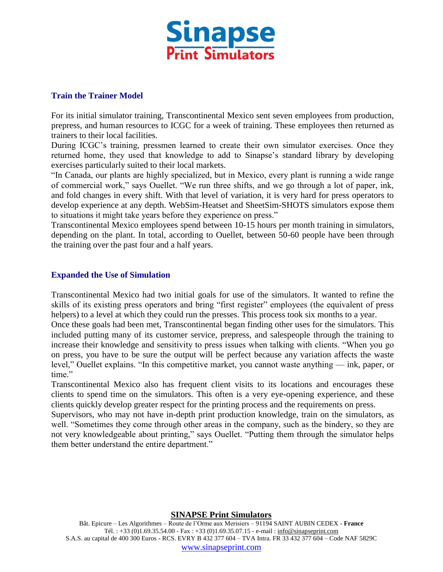

## **Train the Trainer Model**

For its initial simulator training, Transcontinental Mexico sent seven employees from production, prepress, and human resources to ICGC for a week of training. These employees then returned as trainers to their local facilities.

During ICGC's training, pressmen learned to create their own simulator exercises. Once they returned home, they used that knowledge to add to Sinapse's standard library by developing exercises particularly suited to their local markets.

"In Canada, our plants are highly specialized, but in Mexico, every plant is running a wide range of commercial work," says Ouellet. "We run three shifts, and we go through a lot of paper, ink, and fold changes in every shift. With that level of variation, it is very hard for press operators to develop experience at any depth. WebSim-Heatset and SheetSim-SHOTS simulators expose them to situations it might take years before they experience on press."

Transcontinental Mexico employees spend between 10-15 hours per month training in simulators, depending on the plant. In total, according to Ouellet, between 50-60 people have been through the training over the past four and a half years.

## **Expanded the Use of Simulation**

Transcontinental Mexico had two initial goals for use of the simulators. It wanted to refine the skills of its existing press operators and bring "first register" employees (the equivalent of press helpers) to a level at which they could run the presses. This process took six months to a year.

Once these goals had been met, Transcontinental began finding other uses for the simulators. This included putting many of its customer service, prepress, and salespeople through the training to increase their knowledge and sensitivity to press issues when talking with clients. "When you go on press, you have to be sure the output will be perfect because any variation affects the waste level," Ouellet explains. "In this competitive market, you cannot waste anything — ink, paper, or time."

Transcontinental Mexico also has frequent client visits to its locations and encourages these clients to spend time on the simulators. This often is a very eye-opening experience, and these clients quickly develop greater respect for the printing process and the requirements on press.

Supervisors, who may not have in-depth print production knowledge, train on the simulators, as well. "Sometimes they come through other areas in the company, such as the bindery, so they are not very knowledgeable about printing," says Ouellet. "Putting them through the simulator helps them better understand the entire department."

#### **SINAPSE Print Simulators**

Bât. Epicure – Les Algorithmes – Route de l'Orme aux Merisiers – 91194 SAINT AUBIN CEDEX - **France** Tél. : +33 (0)1.69.35.54.00 - Fax : +33 (0)1.69.35.07.15 - e-mail : info@sinapseprint.com S.A.S. au capital de 400 300 Euros - RCS. EVRY B 432 377 604 – TVA Intra. FR 33 432 377 604 – Code NAF 5829C [www.sinapseprint.com](http://www.sinapseprint.com/)